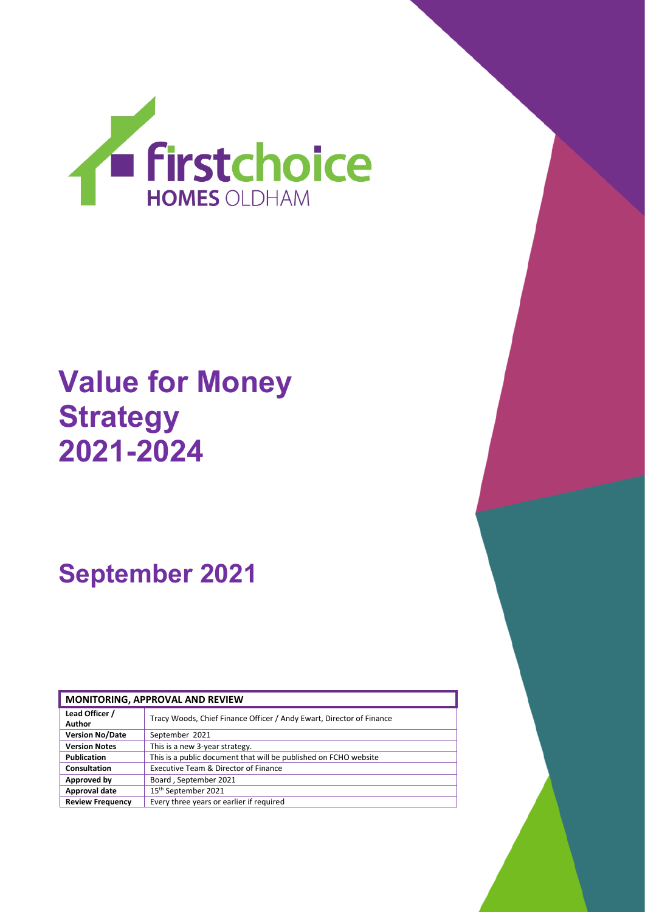

# **Value for Money Strategy 2021-2024**

# **September 2021**

| <b>MONITORING, APPROVAL AND REVIEW</b> |                                                                      |  |  |
|----------------------------------------|----------------------------------------------------------------------|--|--|
| Lead Officer /<br>Author               | Tracy Woods, Chief Finance Officer / Andy Ewart, Director of Finance |  |  |
| <b>Version No/Date</b>                 | September 2021                                                       |  |  |
| <b>Version Notes</b>                   | This is a new 3-year strategy.                                       |  |  |
| <b>Publication</b>                     | This is a public document that will be published on FCHO website     |  |  |
| Consultation                           | Executive Team & Director of Finance                                 |  |  |
| Approved by                            | Board, September 2021                                                |  |  |
| Approval date                          | 15th September 2021                                                  |  |  |
| <b>Review Frequency</b>                | Every three years or earlier if required                             |  |  |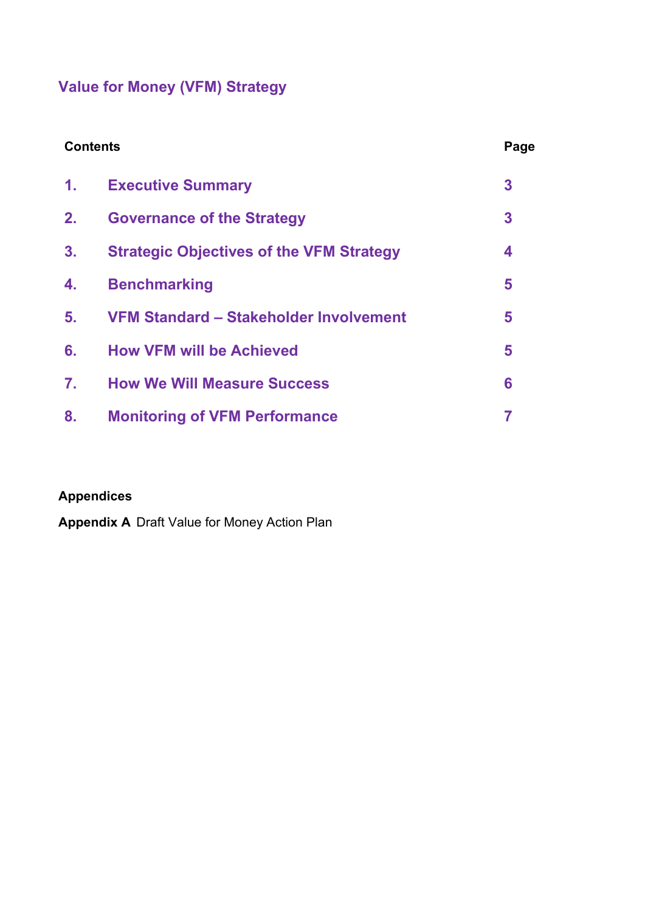# **Value for Money (VFM) Strategy**

| <b>Contents</b> |                                                 | Page               |
|-----------------|-------------------------------------------------|--------------------|
| $\mathbf{1}$ .  | <b>Executive Summary</b>                        | 3                  |
| 2.              | <b>Governance of the Strategy</b>               | 3                  |
| 3 <sub>1</sub>  | <b>Strategic Objectives of the VFM Strategy</b> | $\overline{\bf 4}$ |
| 4.              | <b>Benchmarking</b>                             | 5                  |
| 5.              | VFM Standard - Stakeholder Involvement          | 5                  |
| 6.              | <b>How VFM will be Achieved</b>                 | 5                  |
| $\mathbf{7}$ .  | <b>How We Will Measure Success</b>              | 6                  |
| 8.              | <b>Monitoring of VFM Performance</b>            | 7                  |

### **Appendices**

**Appendix A** Draft Value for Money Action Plan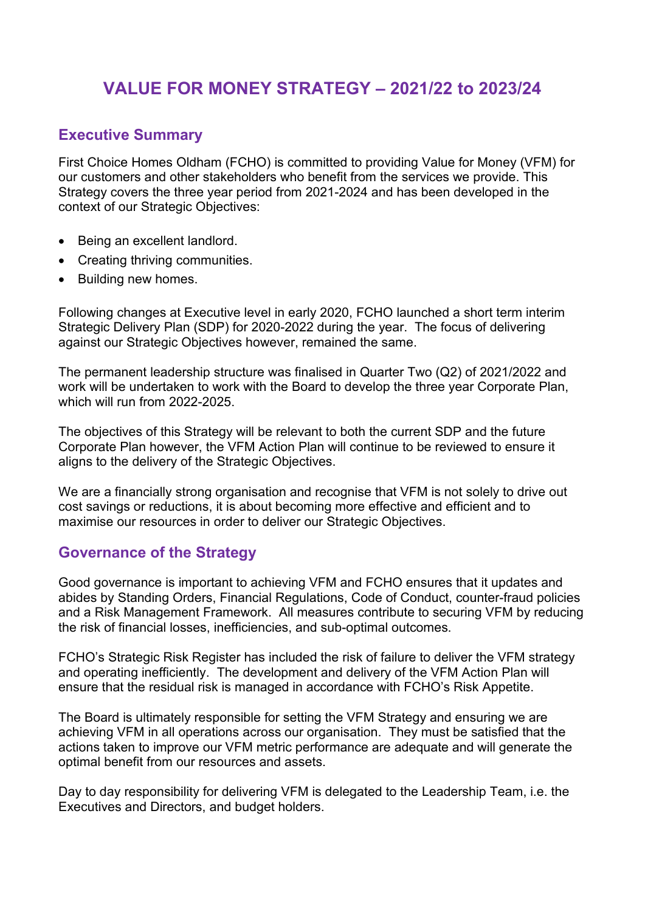## **VALUE FOR MONEY STRATEGY – 2021/22 to 2023/24**

#### **Executive Summary**

First Choice Homes Oldham (FCHO) is committed to providing Value for Money (VFM) for our customers and other stakeholders who benefit from the services we provide. This Strategy covers the three year period from 2021-2024 and has been developed in the context of our Strategic Objectives:

- Being an excellent landlord.
- Creating thriving communities.
- Building new homes.

Following changes at Executive level in early 2020, FCHO launched a short term interim Strategic Delivery Plan (SDP) for 2020-2022 during the year. The focus of delivering against our Strategic Objectives however, remained the same.

The permanent leadership structure was finalised in Quarter Two (Q2) of 2021/2022 and work will be undertaken to work with the Board to develop the three year Corporate Plan, which will run from 2022-2025.

The objectives of this Strategy will be relevant to both the current SDP and the future Corporate Plan however, the VFM Action Plan will continue to be reviewed to ensure it aligns to the delivery of the Strategic Objectives.

We are a financially strong organisation and recognise that VFM is not solely to drive out cost savings or reductions, it is about becoming more effective and efficient and to maximise our resources in order to deliver our Strategic Objectives.

#### **Governance of the Strategy**

Good governance is important to achieving VFM and FCHO ensures that it updates and abides by Standing Orders, Financial Regulations, Code of Conduct, counter-fraud policies and a Risk Management Framework. All measures contribute to securing VFM by reducing the risk of financial losses, inefficiencies, and sub-optimal outcomes.

FCHO's Strategic Risk Register has included the risk of failure to deliver the VFM strategy and operating inefficiently. The development and delivery of the VFM Action Plan will ensure that the residual risk is managed in accordance with FCHO's Risk Appetite.

The Board is ultimately responsible for setting the VFM Strategy and ensuring we are achieving VFM in all operations across our organisation. They must be satisfied that the actions taken to improve our VFM metric performance are adequate and will generate the optimal benefit from our resources and assets.

Day to day responsibility for delivering VFM is delegated to the Leadership Team, i.e. the Executives and Directors, and budget holders.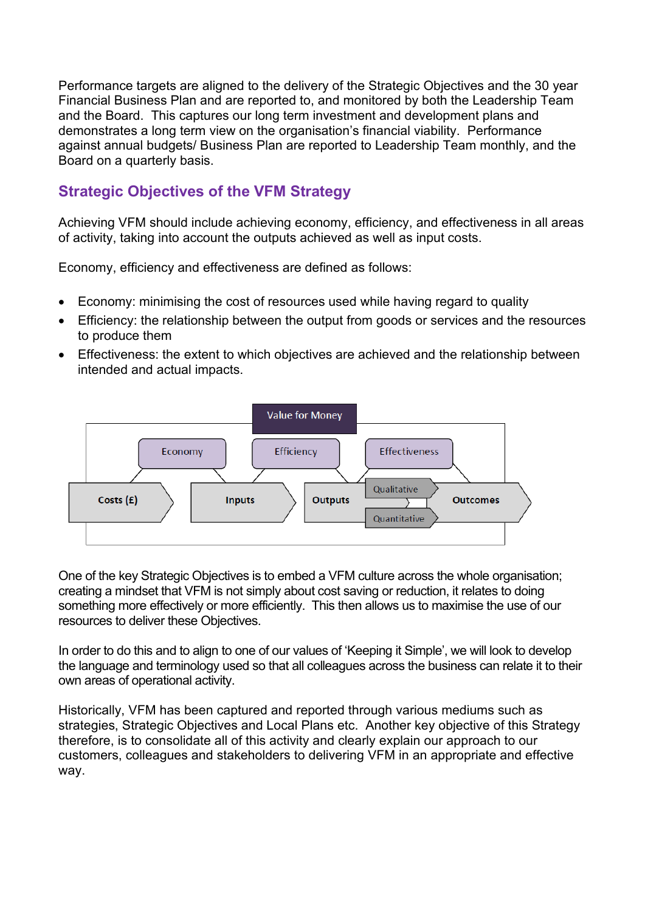Performance targets are aligned to the delivery of the Strategic Objectives and the 30 year Financial Business Plan and are reported to, and monitored by both the Leadership Team and the Board. This captures our long term investment and development plans and demonstrates a long term view on the organisation's financial viability. Performance against annual budgets/ Business Plan are reported to Leadership Team monthly, and the Board on a quarterly basis.

#### **Strategic Objectives of the VFM Strategy**

Achieving VFM should include achieving economy, efficiency, and effectiveness in all areas of activity, taking into account the outputs achieved as well as input costs.

Economy, efficiency and effectiveness are defined as follows:

- Economy: minimising the cost of resources used while having regard to quality
- Efficiency: the relationship between the output from goods or services and the resources to produce them
- Effectiveness: the extent to which objectives are achieved and the relationship between intended and actual impacts.



One of the key Strategic Objectives is to embed a VFM culture across the whole organisation; creating a mindset that VFM is not simply about cost saving or reduction, it relates to doing something more effectively or more efficiently. This then allows us to maximise the use of our resources to deliver these Objectives.

In order to do this and to align to one of our values of 'Keeping it Simple', we will look to develop the language and terminology used so that all colleagues across the business can relate it to their own areas of operational activity.

Historically, VFM has been captured and reported through various mediums such as strategies, Strategic Objectives and Local Plans etc. Another key objective of this Strategy therefore, is to consolidate all of this activity and clearly explain our approach to our customers, colleagues and stakeholders to delivering VFM in an appropriate and effective way.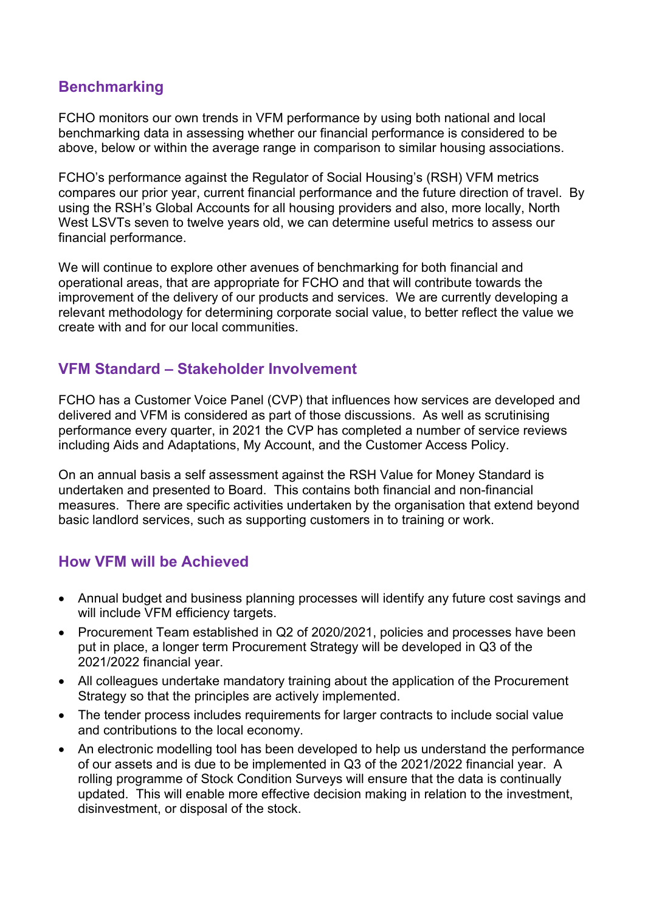#### **Benchmarking**

FCHO monitors our own trends in VFM performance by using both national and local benchmarking data in assessing whether our financial performance is considered to be above, below or within the average range in comparison to similar housing associations.

FCHO's performance against the Regulator of Social Housing's (RSH) VFM metrics compares our prior year, current financial performance and the future direction of travel. By using the RSH's Global Accounts for all housing providers and also, more locally, North West LSVTs seven to twelve years old, we can determine useful metrics to assess our financial performance.

We will continue to explore other avenues of benchmarking for both financial and operational areas, that are appropriate for FCHO and that will contribute towards the improvement of the delivery of our products and services. We are currently developing a relevant methodology for determining corporate social value, to better reflect the value we create with and for our local communities.

#### **VFM Standard – Stakeholder Involvement**

FCHO has a Customer Voice Panel (CVP) that influences how services are developed and delivered and VFM is considered as part of those discussions. As well as scrutinising performance every quarter, in 2021 the CVP has completed a number of service reviews including Aids and Adaptations, My Account, and the Customer Access Policy.

On an annual basis a self assessment against the RSH Value for Money Standard is undertaken and presented to Board. This contains both financial and non-financial measures. There are specific activities undertaken by the organisation that extend beyond basic landlord services, such as supporting customers in to training or work.

### **How VFM will be Achieved**

- Annual budget and business planning processes will identify any future cost savings and will include VFM efficiency targets.
- Procurement Team established in Q2 of 2020/2021, policies and processes have been put in place, a longer term Procurement Strategy will be developed in Q3 of the 2021/2022 financial year.
- All colleagues undertake mandatory training about the application of the Procurement Strategy so that the principles are actively implemented.
- The tender process includes requirements for larger contracts to include social value and contributions to the local economy.
- An electronic modelling tool has been developed to help us understand the performance of our assets and is due to be implemented in Q3 of the 2021/2022 financial year. A rolling programme of Stock Condition Surveys will ensure that the data is continually updated. This will enable more effective decision making in relation to the investment, disinvestment, or disposal of the stock.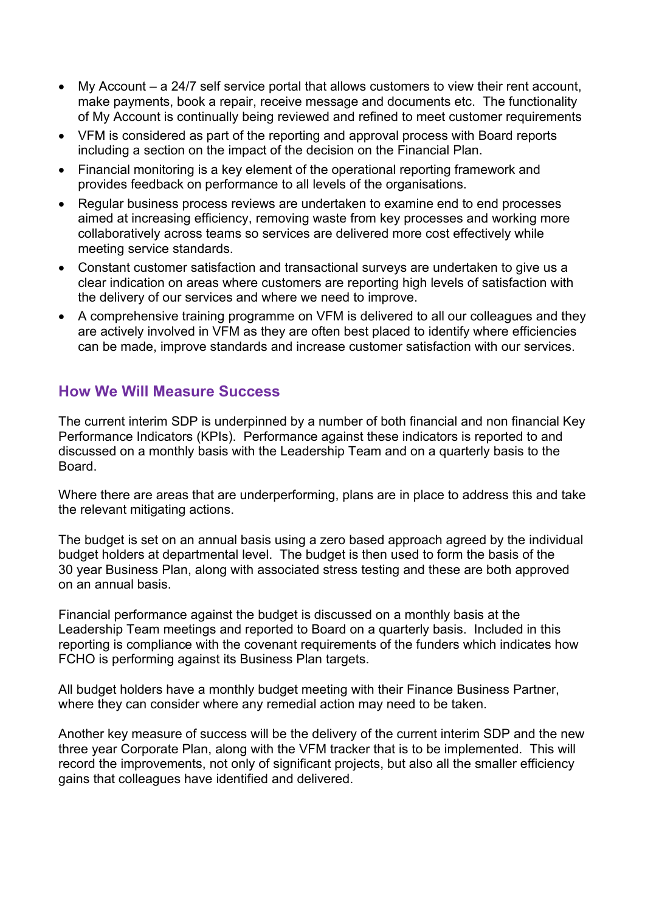- My Account a 24/7 self service portal that allows customers to view their rent account, make payments, book a repair, receive message and documents etc. The functionality of My Account is continually being reviewed and refined to meet customer requirements
- VFM is considered as part of the reporting and approval process with Board reports including a section on the impact of the decision on the Financial Plan.
- Financial monitoring is a key element of the operational reporting framework and provides feedback on performance to all levels of the organisations.
- Regular business process reviews are undertaken to examine end to end processes aimed at increasing efficiency, removing waste from key processes and working more collaboratively across teams so services are delivered more cost effectively while meeting service standards.
- Constant customer satisfaction and transactional surveys are undertaken to give us a clear indication on areas where customers are reporting high levels of satisfaction with the delivery of our services and where we need to improve.
- A comprehensive training programme on VFM is delivered to all our colleagues and they are actively involved in VFM as they are often best placed to identify where efficiencies can be made, improve standards and increase customer satisfaction with our services.

#### **How We Will Measure Success**

The current interim SDP is underpinned by a number of both financial and non financial Key Performance Indicators (KPIs). Performance against these indicators is reported to and discussed on a monthly basis with the Leadership Team and on a quarterly basis to the Board.

Where there are areas that are underperforming, plans are in place to address this and take the relevant mitigating actions.

The budget is set on an annual basis using a zero based approach agreed by the individual budget holders at departmental level. The budget is then used to form the basis of the 30 year Business Plan, along with associated stress testing and these are both approved on an annual basis.

Financial performance against the budget is discussed on a monthly basis at the Leadership Team meetings and reported to Board on a quarterly basis. Included in this reporting is compliance with the covenant requirements of the funders which indicates how FCHO is performing against its Business Plan targets.

All budget holders have a monthly budget meeting with their Finance Business Partner, where they can consider where any remedial action may need to be taken.

Another key measure of success will be the delivery of the current interim SDP and the new three year Corporate Plan, along with the VFM tracker that is to be implemented. This will record the improvements, not only of significant projects, but also all the smaller efficiency gains that colleagues have identified and delivered.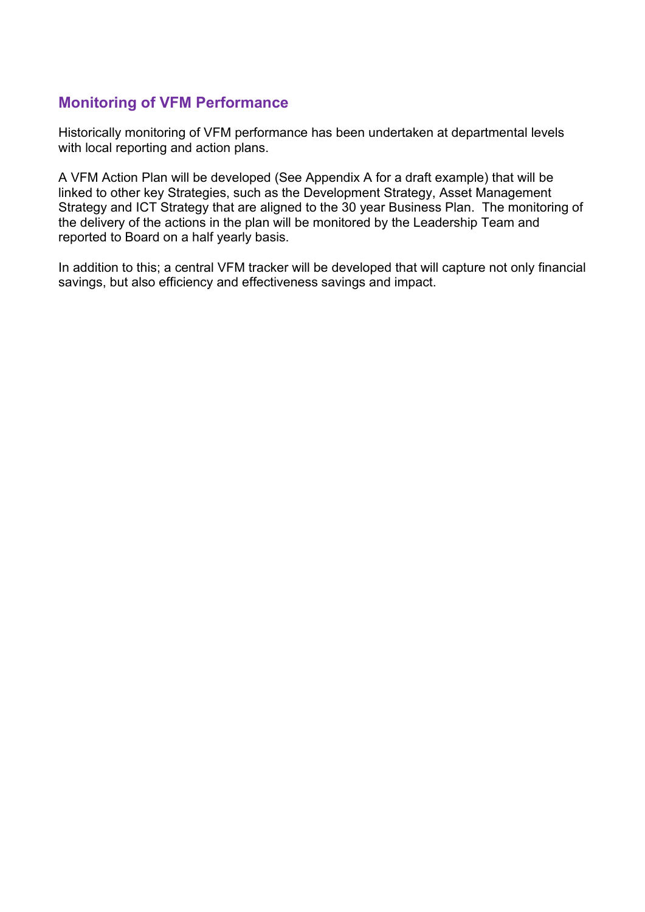#### **Monitoring of VFM Performance**

Historically monitoring of VFM performance has been undertaken at departmental levels with local reporting and action plans.

A VFM Action Plan will be developed (See Appendix A for a draft example) that will be linked to other key Strategies, such as the Development Strategy, Asset Management Strategy and ICT Strategy that are aligned to the 30 year Business Plan. The monitoring of the delivery of the actions in the plan will be monitored by the Leadership Team and reported to Board on a half yearly basis.

In addition to this; a central VFM tracker will be developed that will capture not only financial savings, but also efficiency and effectiveness savings and impact.